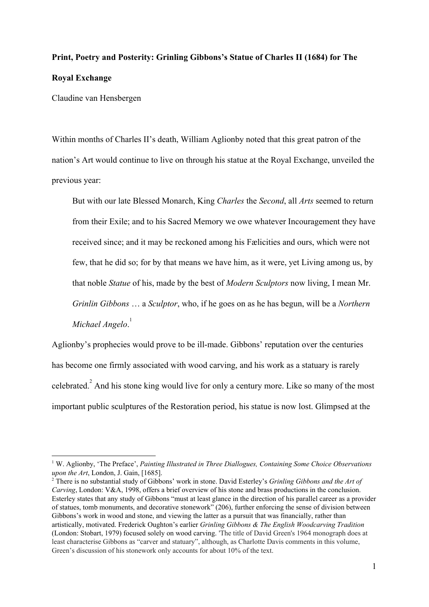# **Print, Poetry and Posterity: Grinling Gibbons's Statue of Charles II (1684) for The Royal Exchange**

Claudine van Hensbergen

Within months of Charles II's death, William Aglionby noted that this great patron of the nation's Art would continue to live on through his statue at the Royal Exchange, unveiled the previous year:

But with our late Blessed Monarch, King *Charles* the *Second*, all *Arts* seemed to return from their Exile; and to his Sacred Memory we owe whatever Incouragement they have received since; and it may be reckoned among his Fælicities and ours, which were not few, that he did so; for by that means we have him, as it were, yet Living among us, by that noble *Statue* of his, made by the best of *Modern Sculptors* now living, I mean Mr. *Grinlin Gibbons* … a *Sculptor*, who, if he goes on as he has begun, will be a *Northern Michael Angelo*. 1

Aglionby's prophecies would prove to be ill-made. Gibbons' reputation over the centuries has become one firmly associated with wood carving, and his work as a statuary is rarely celebrated.<sup>2</sup> And his stone king would live for only a century more. Like so many of the most important public sculptures of the Restoration period, his statue is now lost. Glimpsed at the

<sup>1</sup> W. Aglionby, 'The Preface', *Painting Illustrated in Three Diallogues, Containing Some Choice Observations upon the Art*, London, J. Gain, [1685].

<sup>2</sup> There is no substantial study of Gibbons' work in stone. David Esterley's *Grinling Gibbons and the Art of Carving*, London: V&A, 1998, offers a brief overview of his stone and brass productions in the conclusion. Esterley states that any study of Gibbons "must at least glance in the direction of his parallel career as a provider of statues, tomb monuments, and decorative stonework" (206), further enforcing the sense of division between Gibbons's work in wood and stone, and viewing the latter as a pursuit that was financially, rather than artistically, motivated. Frederick Oughton's earlier *Grinling Gibbons & The English Woodcarving Tradition* (London: Stobart, 1979) focused solely on wood carving. 'The title of David Green's 1964 monograph does at least characterise Gibbons as "carver and statuary", although, as Charlotte Davis comments in this volume, Green's discussion of his stonework only accounts for about 10% of the text.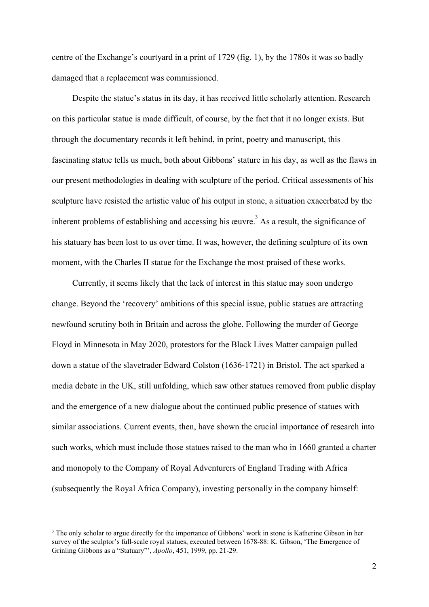centre of the Exchange's courtyard in a print of 1729 (fig. 1), by the 1780s it was so badly damaged that a replacement was commissioned.

Despite the statue's status in its day, it has received little scholarly attention. Research on this particular statue is made difficult, of course, by the fact that it no longer exists. But through the documentary records it left behind, in print, poetry and manuscript, this fascinating statue tells us much, both about Gibbons' stature in his day, as well as the flaws in our present methodologies in dealing with sculpture of the period. Critical assessments of his sculpture have resisted the artistic value of his output in stone, a situation exacerbated by the inherent problems of establishing and accessing his œuvre.<sup>3</sup> As a result, the significance of his statuary has been lost to us over time. It was, however, the defining sculpture of its own moment, with the Charles II statue for the Exchange the most praised of these works.

Currently, it seems likely that the lack of interest in this statue may soon undergo change. Beyond the 'recovery' ambitions of this special issue, public statues are attracting newfound scrutiny both in Britain and across the globe. Following the murder of George Floyd in Minnesota in May 2020, protestors for the Black Lives Matter campaign pulled down a statue of the slavetrader Edward Colston (1636-1721) in Bristol. The act sparked a media debate in the UK, still unfolding, which saw other statues removed from public display and the emergence of a new dialogue about the continued public presence of statues with similar associations. Current events, then, have shown the crucial importance of research into such works, which must include those statues raised to the man who in 1660 granted a charter and monopoly to the Company of Royal Adventurers of England Trading with Africa (subsequently the Royal Africa Company), investing personally in the company himself:

<sup>&</sup>lt;sup>3</sup> The only scholar to argue directly for the importance of Gibbons' work in stone is Katherine Gibson in her survey of the sculptor's full-scale royal statues, executed between 1678-88: K. Gibson, 'The Emergence of Grinling Gibbons as a "Statuary"', *Apollo*, 451, 1999, pp. 21-29.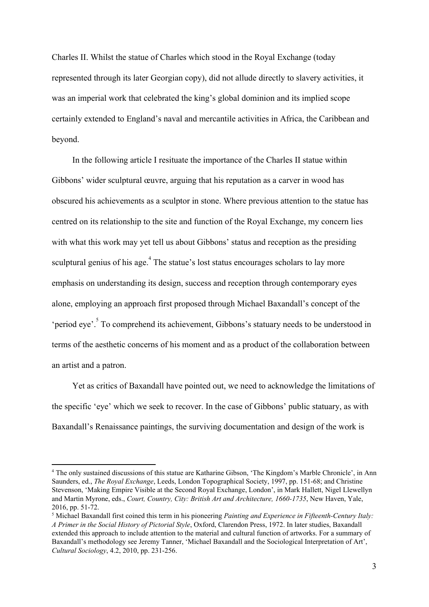Charles II. Whilst the statue of Charles which stood in the Royal Exchange (today represented through its later Georgian copy), did not allude directly to slavery activities, it was an imperial work that celebrated the king's global dominion and its implied scope certainly extended to England's naval and mercantile activities in Africa, the Caribbean and beyond.

In the following article I resituate the importance of the Charles II statue within Gibbons' wider sculptural œuvre, arguing that his reputation as a carver in wood has obscured his achievements as a sculptor in stone. Where previous attention to the statue has centred on its relationship to the site and function of the Royal Exchange, my concern lies with what this work may yet tell us about Gibbons' status and reception as the presiding sculptural genius of his age.  $\frac{4}{3}$  The statue's lost status encourages scholars to lay more emphasis on understanding its design, success and reception through contemporary eyes alone, employing an approach first proposed through Michael Baxandall's concept of the 'period eye'.<sup>5</sup> To comprehend its achievement, Gibbons's statuary needs to be understood in terms of the aesthetic concerns of his moment and as a product of the collaboration between an artist and a patron.

Yet as critics of Baxandall have pointed out, we need to acknowledge the limitations of the specific 'eye' which we seek to recover. In the case of Gibbons' public statuary, as with Baxandall's Renaissance paintings, the surviving documentation and design of the work is

<sup>4</sup> The only sustained discussions of this statue are Katharine Gibson, 'The Kingdom's Marble Chronicle', in Ann Saunders, ed., *The Royal Exchange*, Leeds, London Topographical Society, 1997, pp. 151-68; and Christine Stevenson, 'Making Empire Visible at the Second Royal Exchange, London', in Mark Hallett, Nigel Llewellyn and Martin Myrone, eds., *Court, Country, City: British Art and Architecture, 1660-1735*, New Haven, Yale, 2016, pp. 51-72.

<sup>5</sup> Michael Baxandall first coined this term in his pioneering *Painting and Experience in Fifteenth-Century Italy: A Primer in the Social History of Pictorial Style*, Oxford, Clarendon Press, 1972. In later studies, Baxandall extended this approach to include attention to the material and cultural function of artworks. For a summary of Baxandall's methodology see Jeremy Tanner, 'Michael Baxandall and the Sociological Interpretation of Art', *Cultural Sociology*, 4.2, 2010, pp. 231-256.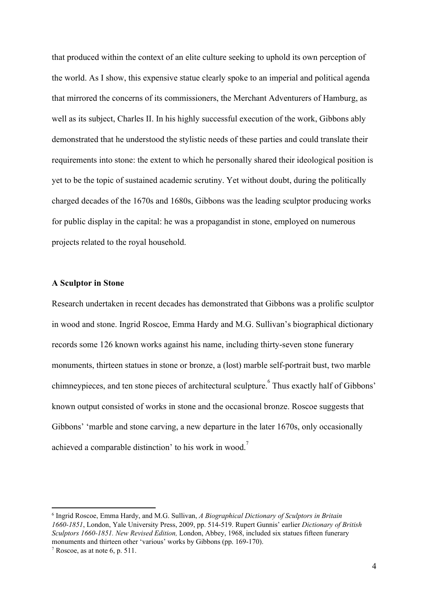that produced within the context of an elite culture seeking to uphold its own perception of the world. As I show, this expensive statue clearly spoke to an imperial and political agenda that mirrored the concerns of its commissioners, the Merchant Adventurers of Hamburg, as well as its subject, Charles II. In his highly successful execution of the work, Gibbons ably demonstrated that he understood the stylistic needs of these parties and could translate their requirements into stone: the extent to which he personally shared their ideological position is yet to be the topic of sustained academic scrutiny. Yet without doubt, during the politically charged decades of the 1670s and 1680s, Gibbons was the leading sculptor producing works for public display in the capital: he was a propagandist in stone, employed on numerous projects related to the royal household.

# **A Sculptor in Stone**

Research undertaken in recent decades has demonstrated that Gibbons was a prolific sculptor in wood and stone. Ingrid Roscoe, Emma Hardy and M.G. Sullivan's biographical dictionary records some 126 known works against his name, including thirty-seven stone funerary monuments, thirteen statues in stone or bronze, a (lost) marble self-portrait bust, two marble chimneypieces, and ten stone pieces of architectural sculpture. Thus exactly half of Gibbons' known output consisted of works in stone and the occasional bronze. Roscoe suggests that Gibbons' 'marble and stone carving, a new departure in the later 1670s, only occasionally achieved a comparable distinction' to his work in wood.<sup>7</sup>

<sup>6</sup> Ingrid Roscoe, Emma Hardy, and M.G. Sullivan, *A Biographical Dictionary of Sculptors in Britain 1660-1851*, London, Yale University Press, 2009, pp. 514-519. Rupert Gunnis' earlier *Dictionary of British Sculptors 1660-1851. New Revised Edition,* London, Abbey, 1968, included six statues fifteen funerary monuments and thirteen other 'various' works by Gibbons (pp. 169-170).

 $7$  Roscoe, as at note 6, p. 511.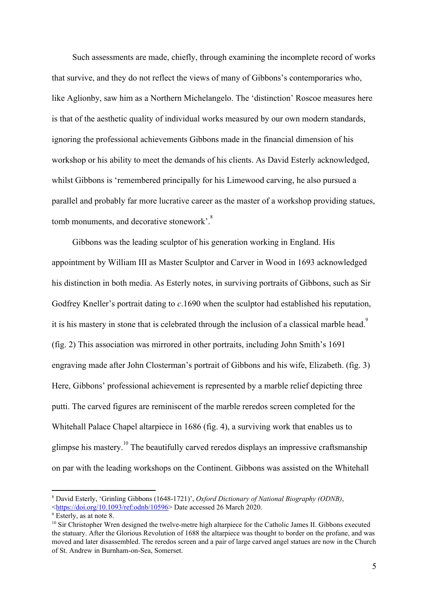Such assessments are made, chiefly, through examining the incomplete record of works that survive, and they do not reflect the views of many of Gibbons's contemporaries who, like Aglionby, saw him as a Northern Michelangelo. The 'distinction' Roscoe measures here is that of the aesthetic quality of individual works measured by our own modern standards, ignoring the professional achievements Gibbons made in the financial dimension of his workshop or his ability to meet the demands of his clients. As David Esterly acknowledged, whilst Gibbons is 'remembered principally for his Limewood carving, he also pursued a parallel and probably far more lucrative career as the master of a workshop providing statues, tomb monuments, and decorative stonework'.<sup>8</sup>

Gibbons was the leading sculptor of his generation working in England. His appointment by William III as Master Sculptor and Carver in Wood in 1693 acknowledged his distinction in both media. As Esterly notes, in surviving portraits of Gibbons, such as Sir Godfrey Kneller's portrait dating to *c*.1690 when the sculptor had established his reputation, it is his mastery in stone that is celebrated through the inclusion of a classical marble head.<sup>9</sup> (fig. 2) This association was mirrored in other portraits, including John Smith's 1691 engraving made after John Closterman's portrait of Gibbons and his wife, Elizabeth. (fig. 3) Here, Gibbons' professional achievement is represented by a marble relief depicting three putti. The carved figures are reminiscent of the marble reredos screen completed for the Whitehall Palace Chapel altarpiece in 1686 (fig. 4), a surviving work that enables us to glimpse his mastery.<sup>10</sup> The beautifully carved reredos displays an impressive craftsmanship on par with the leading workshops on the Continent. Gibbons was assisted on the Whitehall

<sup>8</sup> David Esterly, 'Grinling Gibbons (1648-1721)', *Oxford Dictionary of National Biography (ODNB)*, <[https://doi.org/10.1093/ref:odnb/10596>](https://doi.org/10.1093/ref:odnb/10596) Date accessed 26 March 2020.

<sup>&</sup>lt;sup>9</sup> Esterly, as at note 8.

<sup>&</sup>lt;sup>10</sup> Sir Christopher Wren designed the twelve-metre high altarpiece for the Catholic James II. Gibbons executed the statuary. After the Glorious Revolution of 1688 the altarpiece was thought to border on the profane, and was moved and later disassembled. The reredos screen and a pair of large carved angel statues are now in the Church of St. Andrew in Burnham-on-Sea, Somerset.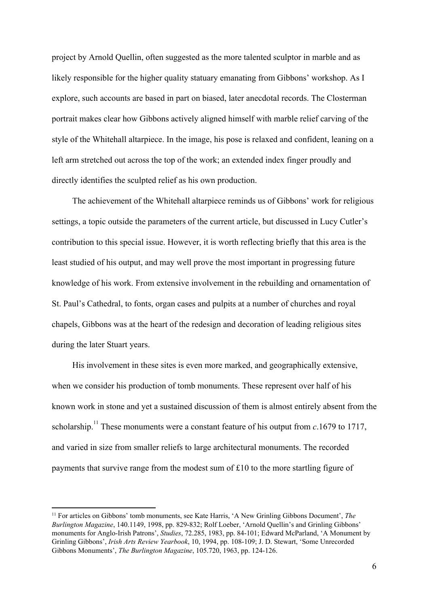project by Arnold Quellin, often suggested as the more talented sculptor in marble and as likely responsible for the higher quality statuary emanating from Gibbons' workshop. As I explore, such accounts are based in part on biased, later anecdotal records. The Closterman portrait makes clear how Gibbons actively aligned himself with marble relief carving of the style of the Whitehall altarpiece. In the image, his pose is relaxed and confident, leaning on a left arm stretched out across the top of the work; an extended index finger proudly and directly identifies the sculpted relief as his own production.

The achievement of the Whitehall altarpiece reminds us of Gibbons' work for religious settings, a topic outside the parameters of the current article, but discussed in Lucy Cutler's contribution to this special issue. However, it is worth reflecting briefly that this area is the least studied of his output, and may well prove the most important in progressing future knowledge of his work. From extensive involvement in the rebuilding and ornamentation of St. Paul's Cathedral, to fonts, organ cases and pulpits at a number of churches and royal chapels, Gibbons was at the heart of the redesign and decoration of leading religious sites during the later Stuart years.

His involvement in these sites is even more marked, and geographically extensive, when we consider his production of tomb monuments. These represent over half of his known work in stone and yet a sustained discussion of them is almost entirely absent from the scholarship.<sup>11</sup> These monuments were a constant feature of his output from  $c.1679$  to 1717, and varied in size from smaller reliefs to large architectural monuments. The recorded payments that survive range from the modest sum of £10 to the more startling figure of

<sup>11</sup> For articles on Gibbons' tomb monuments, see Kate Harris, 'A New Grinling Gibbons Document', *The Burlington Magazine*, 140.1149, 1998, pp. 829-832; Rolf Loeber, 'Arnold Quellin's and Grinling Gibbons' monuments for Anglo-Irish Patrons', *Studies*, 72.285, 1983, pp. 84-101; Edward McParland, 'A Monument by Grinling Gibbons', *Irish Arts Review Yearbook*, 10, 1994, pp. 108-109; J. D. Stewart, 'Some Unrecorded Gibbons Monuments', *The Burlington Magazine*, 105.720, 1963, pp. 124-126.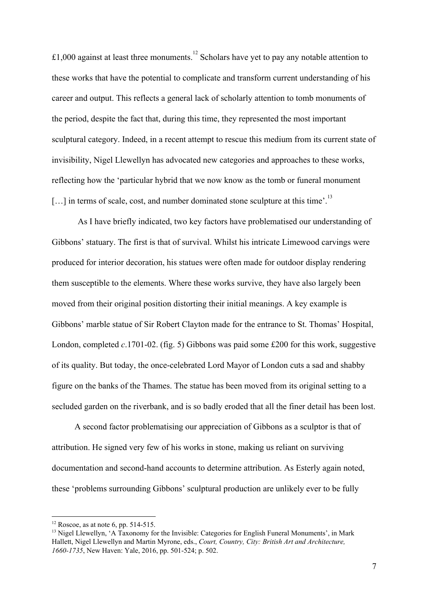£1,000 against at least three monuments.<sup>12</sup> Scholars have yet to pay any notable attention to these works that have the potential to complicate and transform current understanding of his career and output. This reflects a general lack of scholarly attention to tomb monuments of the period, despite the fact that, during this time, they represented the most important sculptural category. Indeed, in a recent attempt to rescue this medium from its current state of invisibility, Nigel Llewellyn has advocated new categories and approaches to these works, reflecting how the 'particular hybrid that we now know as the tomb or funeral monument  $[\dots]$  in terms of scale, cost, and number dominated stone sculpture at this time'.<sup>13</sup>

As I have briefly indicated, two key factors have problematised our understanding of Gibbons' statuary. The first is that of survival. Whilst his intricate Limewood carvings were produced for interior decoration, his statues were often made for outdoor display rendering them susceptible to the elements. Where these works survive, they have also largely been moved from their original position distorting their initial meanings. A key example is Gibbons' marble statue of Sir Robert Clayton made for the entrance to St. Thomas' Hospital, London, completed *c*.1701-02. (fig. 5) Gibbons was paid some £200 for this work, suggestive of its quality. But today, the once-celebrated Lord Mayor of London cuts a sad and shabby figure on the banks of the Thames. The statue has been moved from its original setting to a secluded garden on the riverbank, and is so badly eroded that all the finer detail has been lost.

 A second factor problematising our appreciation of Gibbons as a sculptor is that of attribution. He signed very few of his works in stone, making us reliant on surviving documentation and second-hand accounts to determine attribution. As Esterly again noted, these 'problems surrounding Gibbons' sculptural production are unlikely ever to be fully

 $12$  Roscoe, as at note 6, pp. 514-515.

<sup>&</sup>lt;sup>13</sup> Nigel Llewellyn, 'A Taxonomy for the Invisible: Categories for English Funeral Monuments', in Mark Hallett, Nigel Llewellyn and Martin Myrone, eds., *Court, Country, City: British Art and Architecture, 1660-1735*, New Haven: Yale, 2016, pp. 501-524; p. 502.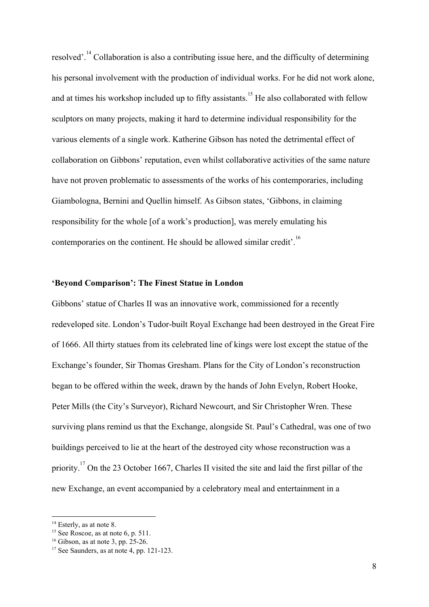resolved'.<sup>14</sup> Collaboration is also a contributing issue here, and the difficulty of determining his personal involvement with the production of individual works. For he did not work alone, and at times his workshop included up to fifty assistants.<sup>15</sup> He also collaborated with fellow sculptors on many projects, making it hard to determine individual responsibility for the various elements of a single work. Katherine Gibson has noted the detrimental effect of collaboration on Gibbons' reputation, even whilst collaborative activities of the same nature have not proven problematic to assessments of the works of his contemporaries, including Giambologna, Bernini and Quellin himself. As Gibson states, 'Gibbons, in claiming responsibility for the whole [of a work's production], was merely emulating his contemporaries on the continent. He should be allowed similar credit'.<sup>16</sup>

### **'Beyond Comparison': The Finest Statue in London**

Gibbons' statue of Charles II was an innovative work, commissioned for a recently redeveloped site. London's Tudor-built Royal Exchange had been destroyed in the Great Fire of 1666. All thirty statues from its celebrated line of kings were lost except the statue of the Exchange's founder, Sir Thomas Gresham. Plans for the City of London's reconstruction began to be offered within the week, drawn by the hands of John Evelyn, Robert Hooke, Peter Mills (the City's Surveyor), Richard Newcourt, and Sir Christopher Wren. These surviving plans remind us that the Exchange, alongside St. Paul's Cathedral, was one of two buildings perceived to lie at the heart of the destroyed city whose reconstruction was a priority.<sup>17</sup> On the 23 October 1667, Charles II visited the site and laid the first pillar of the new Exchange, an event accompanied by a celebratory meal and entertainment in a

 $14$  Esterly, as at note 8.

<sup>&</sup>lt;sup>15</sup> See Roscoe, as at note 6, p. 511.

 $16$  Gibson, as at note 3, pp. 25-26.

 $17$  See Saunders, as at note 4, pp. 121-123.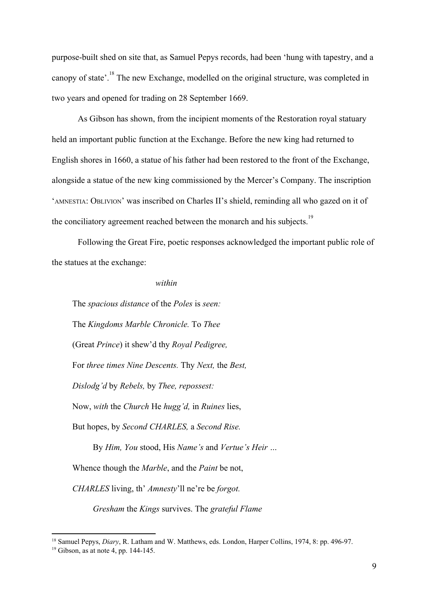purpose-built shed on site that, as Samuel Pepys records, had been 'hung with tapestry, and a canopy of state'.<sup>18</sup> The new Exchange, modelled on the original structure, was completed in two years and opened for trading on 28 September 1669.

As Gibson has shown, from the incipient moments of the Restoration royal statuary held an important public function at the Exchange. Before the new king had returned to English shores in 1660, a statue of his father had been restored to the front of the Exchange, alongside a statue of the new king commissioned by the Mercer's Company. The inscription 'AMNESTIA: OBLIVION' was inscribed on Charles II's shield, reminding all who gazed on it of the conciliatory agreement reached between the monarch and his subjects.<sup>19</sup>

Following the Great Fire, poetic responses acknowledged the important public role of the statues at the exchange:

# *within*

The *spacious distance* of the *Poles* is *seen:*

The *Kingdoms Marble Chronicle.* To *Thee*

(Great *Prince*) it shew'd thy *Royal Pedigree,*

For *three times Nine Descents.* Thy *Next,* the *Best,*

*Dislodg'd* by *Rebels,* by *Thee, repossest:*

Now, *with* the *Church* He *hugg'd,* in *Ruines* lies,

But hopes, by *Second CHARLES,* a *Second Rise.*

By *Him, You* stood, His *Name's* and *Vertue's Heir …*

Whence though the *Marble*, and the *Paint* be not,

*CHARLES* living, th' *Amnesty*'ll ne're be *forgot.*

*Gresham* the *Kings* survives. The *grateful Flame*

<sup>18</sup> Samuel Pepys, *Diary*, R. Latham and W. Matthews, eds. London, Harper Collins, 1974, 8: pp. 496-97.

 $19$  Gibson, as at note 4, pp. 144-145.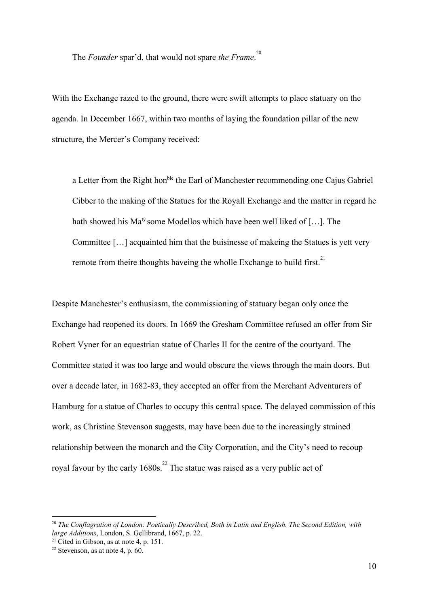The *Founder* spar'd, that would not spare *the Frame*. 20

With the Exchange razed to the ground, there were swift attempts to place statuary on the agenda. In December 1667, within two months of laying the foundation pillar of the new structure, the Mercer's Company received:

a Letter from the Right hon<sup>ble</sup> the Earl of Manchester recommending one Cajus Gabriel Cibber to the making of the Statues for the Royall Exchange and the matter in regard he hath showed his Ma<sup>ty</sup> some Modellos which have been well liked of [...]. The Committee […] acquainted him that the buisinesse of makeing the Statues is yett very remote from theire thoughts haveing the wholle Exchange to build first.<sup>21</sup>

Despite Manchester's enthusiasm, the commissioning of statuary began only once the Exchange had reopened its doors. In 1669 the Gresham Committee refused an offer from Sir Robert Vyner for an equestrian statue of Charles II for the centre of the courtyard. The Committee stated it was too large and would obscure the views through the main doors. But over a decade later, in 1682-83, they accepted an offer from the Merchant Adventurers of Hamburg for a statue of Charles to occupy this central space. The delayed commission of this work, as Christine Stevenson suggests, may have been due to the increasingly strained relationship between the monarch and the City Corporation, and the City's need to recoup royal favour by the early  $1680s$ <sup>22</sup>. The statue was raised as a very public act of

<sup>20</sup> *The Conflagration of London: Poetically Described, Both in Latin and English. The Second Edition, with large Additions*, London, S. Gellibrand, 1667, p. 22.

<sup>&</sup>lt;sup>21</sup> Cited in Gibson, as at note 4, p. 151.

 $22$  Stevenson, as at note 4, p. 60.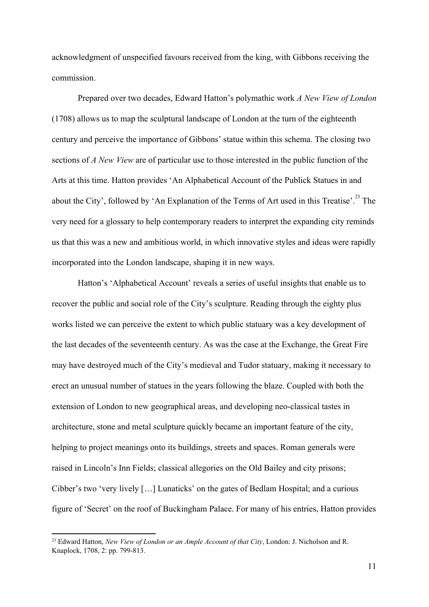acknowledgment of unspecified favours received from the king, with Gibbons receiving the commission.

Prepared over two decades, Edward Hatton's polymathic work *A New View of London* (1708) allows us to map the sculptural landscape of London at the turn of the eighteenth century and perceive the importance of Gibbons' statue within this schema. The closing two sections of *A New View* are of particular use to those interested in the public function of the Arts at this time. Hatton provides 'An Alphabetical Account of the Publick Statues in and about the City', followed by 'An Explanation of the Terms of Art used in this Treatise'.<sup>23</sup> The very need for a glossary to help contemporary readers to interpret the expanding city reminds us that this was a new and ambitious world, in which innovative styles and ideas were rapidly incorporated into the London landscape, shaping it in new ways.

Hatton's 'Alphabetical Account' reveals a series of useful insights that enable us to recover the public and social role of the City's sculpture. Reading through the eighty plus works listed we can perceive the extent to which public statuary was a key development of the last decades of the seventeenth century. As was the case at the Exchange, the Great Fire may have destroyed much of the City's medieval and Tudor statuary, making it necessary to erect an unusual number of statues in the years following the blaze. Coupled with both the extension of London to new geographical areas, and developing neo-classical tastes in architecture, stone and metal sculpture quickly became an important feature of the city, helping to project meanings onto its buildings, streets and spaces. Roman generals were raised in Lincoln's Inn Fields; classical allegories on the Old Bailey and city prisons; Cibber's two 'very lively […] Lunaticks' on the gates of Bedlam Hospital; and a curious figure of 'Secret' on the roof of Buckingham Palace. For many of his entries, Hatton provides

<sup>23</sup> Edward Hatton, *New View of London or an Ample Account of that City*, London: J. Nicholson and R. Knaplock, 1708, 2: pp. 799-813.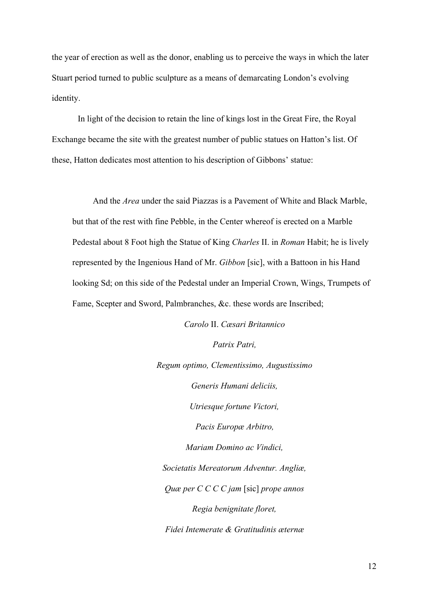the year of erection as well as the donor, enabling us to perceive the ways in which the later Stuart period turned to public sculpture as a means of demarcating London's evolving identity.

In light of the decision to retain the line of kings lost in the Great Fire, the Royal Exchange became the site with the greatest number of public statues on Hatton's list. Of these, Hatton dedicates most attention to his description of Gibbons' statue:

And the *Area* under the said Piazzas is a Pavement of White and Black Marble, but that of the rest with fine Pebble, in the Center whereof is erected on a Marble Pedestal about 8 Foot high the Statue of King *Charles* II. in *Roman* Habit; he is lively represented by the Ingenious Hand of Mr. *Gibbon* [sic], with a Battoon in his Hand looking Sd; on this side of the Pedestal under an Imperial Crown, Wings, Trumpets of Fame, Scepter and Sword, Palmbranches, &c. these words are Inscribed;

> *Carolo* II. *Cæsari Britannico Patrix Patri, Regum optimo, Clementissimo, Augustissimo Generis Humani deliciis, Utriesque fortune Victori, Pacis Europæ Arbitro, Mariam Domino ac Vindici, Societatis Mereatorum Adventur. Angliæ, Quæ per C C C C jam* [sic] *prope annos Regia benignitate floret, Fidei Intemerate & Gratitudinis æternæ*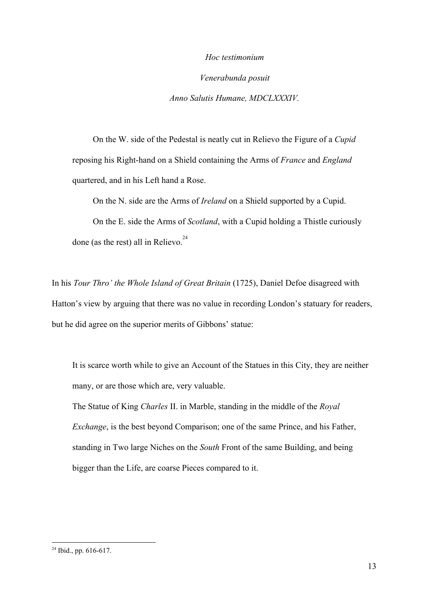#### *Hoc testimonium*

*Venerabunda posuit Anno Salutis Humane, MDCLXXXIV.*

On the W. side of the Pedestal is neatly cut in Relievo the Figure of a *Cupid* reposing his Right-hand on a Shield containing the Arms of *France* and *England* quartered, and in his Left hand a Rose.

On the N. side are the Arms of *Ireland* on a Shield supported by a Cupid. On the E. side the Arms of *Scotland*, with a Cupid holding a Thistle curiously

done (as the rest) all in Relievo. $24$ 

In his *Tour Thro' the Whole Island of Great Britain* (1725), Daniel Defoe disagreed with Hatton's view by arguing that there was no value in recording London's statuary for readers, but he did agree on the superior merits of Gibbons' statue:

It is scarce worth while to give an Account of the Statues in this City, they are neither many, or are those which are, very valuable.

The Statue of King *Charles* II. in Marble, standing in the middle of the *Royal Exchange*, is the best beyond Comparison; one of the same Prince, and his Father, standing in Two large Niches on the *South* Front of the same Building, and being bigger than the Life, are coarse Pieces compared to it.

 $24$  Ibid., pp. 616-617.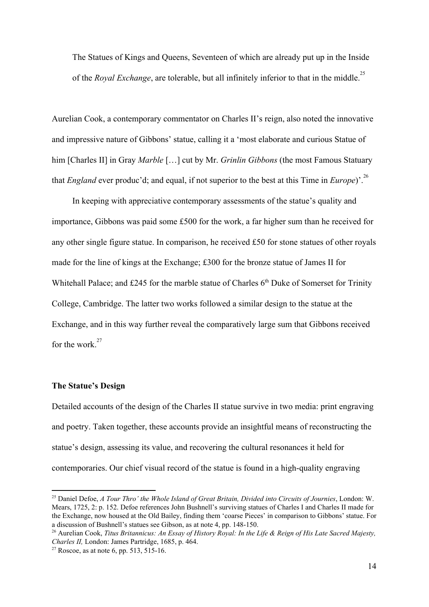The Statues of Kings and Queens, Seventeen of which are already put up in the Inside of the *Royal Exchange*, are tolerable, but all infinitely inferior to that in the middle.<sup>25</sup>

Aurelian Cook, a contemporary commentator on Charles II's reign, also noted the innovative and impressive nature of Gibbons' statue, calling it a 'most elaborate and curious Statue of him [Charles II] in Gray *Marble* […] cut by Mr. *Grinlin Gibbons* (the most Famous Statuary that *England* ever produc'd; and equal, if not superior to the best at this Time in *Europe*)'.<sup>26</sup>

In keeping with appreciative contemporary assessments of the statue's quality and importance, Gibbons was paid some £500 for the work, a far higher sum than he received for any other single figure statue. In comparison, he received £50 for stone statues of other royals made for the line of kings at the Exchange; £300 for the bronze statue of James II for Whitehall Palace; and £245 for the marble statue of Charles  $6<sup>th</sup>$  Duke of Somerset for Trinity College, Cambridge. The latter two works followed a similar design to the statue at the Exchange, and in this way further reveal the comparatively large sum that Gibbons received for the work. $27$ 

# **The Statue's Design**

Detailed accounts of the design of the Charles II statue survive in two media: print engraving and poetry. Taken together, these accounts provide an insightful means of reconstructing the statue's design, assessing its value, and recovering the cultural resonances it held for contemporaries. Our chief visual record of the statue is found in a high-quality engraving

<sup>25</sup> Daniel Defoe, *A Tour Thro' the Whole Island of Great Britain, Divided into Circuits of Journies*, London: W. Mears, 1725, 2: p. 152. Defoe references John Bushnell's surviving statues of Charles I and Charles II made for the Exchange, now housed at the Old Bailey, finding them 'coarse Pieces' in comparison to Gibbons' statue. For a discussion of Bushnell's statues see Gibson, as at note 4, pp. 148-150.

<sup>&</sup>lt;sup>26</sup> Aurelian Cook, Titus Britannicus: An Essay of History Royal: In the Life & Reign of His Late Sacred Majesty, *Charles II,* London: James Partridge, 1685, p. 464.

<sup>&</sup>lt;sup>27</sup> Roscoe, as at note 6, pp. 513, 515-16.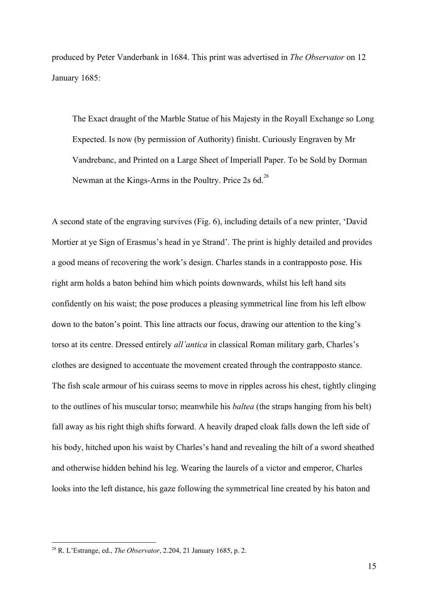produced by Peter Vanderbank in 1684. This print was advertised in *The Observator* on 12 January 1685:

The Exact draught of the Marble Statue of his Majesty in the Royall Exchange so Long Expected. Is now (by permission of Authority) finisht. Curiously Engraven by Mr Vandrebanc, and Printed on a Large Sheet of Imperiall Paper. To be Sold by Dorman Newman at the Kings-Arms in the Poultry. Price 2s 6d.<sup>28</sup>

A second state of the engraving survives (Fig. 6), including details of a new printer, 'David Mortier at ye Sign of Erasmus's head in ye Strand'. The print is highly detailed and provides a good means of recovering the work's design. Charles stands in a contrapposto pose. His right arm holds a baton behind him which points downwards, whilst his left hand sits confidently on his waist; the pose produces a pleasing symmetrical line from his left elbow down to the baton's point. This line attracts our focus, drawing our attention to the king's torso at its centre. Dressed entirely *all'antica* in classical Roman military garb, Charles's clothes are designed to accentuate the movement created through the contrapposto stance. The fish scale armour of his cuirass seems to move in ripples across his chest, tightly clinging to the outlines of his muscular torso; meanwhile his *baltea* (the straps hanging from his belt) fall away as his right thigh shifts forward. A heavily draped cloak falls down the left side of his body, hitched upon his waist by Charles's hand and revealing the hilt of a sword sheathed and otherwise hidden behind his leg. Wearing the laurels of a victor and emperor, Charles looks into the left distance, his gaze following the symmetrical line created by his baton and

<sup>28</sup> R. L'Estrange, ed., *The Observator*, 2.204, 21 January 1685, p. 2.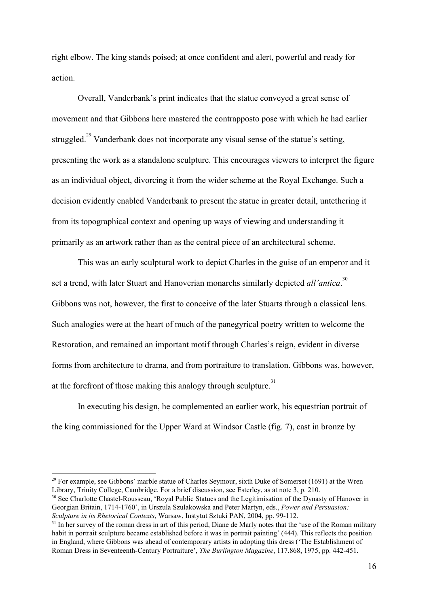right elbow. The king stands poised; at once confident and alert, powerful and ready for action.

Overall, Vanderbank's print indicates that the statue conveyed a great sense of movement and that Gibbons here mastered the contrapposto pose with which he had earlier struggled.<sup> $29$ </sup> Vanderbank does not incorporate any visual sense of the statue's setting, presenting the work as a standalone sculpture. This encourages viewers to interpret the figure as an individual object, divorcing it from the wider scheme at the Royal Exchange. Such a decision evidently enabled Vanderbank to present the statue in greater detail, untethering it from its topographical context and opening up ways of viewing and understanding it primarily as an artwork rather than as the central piece of an architectural scheme.

This was an early sculptural work to depict Charles in the guise of an emperor and it set a trend, with later Stuart and Hanoverian monarchs similarly depicted *all'antica*.<sup>30</sup> Gibbons was not, however, the first to conceive of the later Stuarts through a classical lens. Such analogies were at the heart of much of the panegyrical poetry written to welcome the Restoration, and remained an important motif through Charles's reign, evident in diverse forms from architecture to drama, and from portraiture to translation. Gibbons was, however, at the forefront of those making this analogy through sculpture.<sup>31</sup>

In executing his design, he complemented an earlier work, his equestrian portrait of the king commissioned for the Upper Ward at Windsor Castle (fig. 7), cast in bronze by

<sup>30</sup> See Charlotte Chastel-Rousseau, 'Royal Public Statues and the Legitimisation of the Dynasty of Hanover in Georgian Britain, 1714-1760', in Urszula Szulakowska and Peter Martyn, eds., *Power and Persuasion: Sculpture in its Rhetorical Contexts*, Warsaw, Instytut Sztuki PAN, 2004, pp. 99-112.

 $29$  For example, see Gibbons' marble statue of Charles Seymour, sixth Duke of Somerset (1691) at the Wren Library, Trinity College, Cambridge. For a brief discussion, see Esterley, as at note 3, p. 210.

<sup>&</sup>lt;sup>31</sup> In her survey of the roman dress in art of this period, Diane de Marly notes that the 'use of the Roman military habit in portrait sculpture became established before it was in portrait painting' (444). This reflects the position in England, where Gibbons was ahead of contemporary artists in adopting this dress ('The Establishment of Roman Dress in Seventeenth-Century Portraiture', *The Burlington Magazine*, 117.868, 1975, pp. 442-451.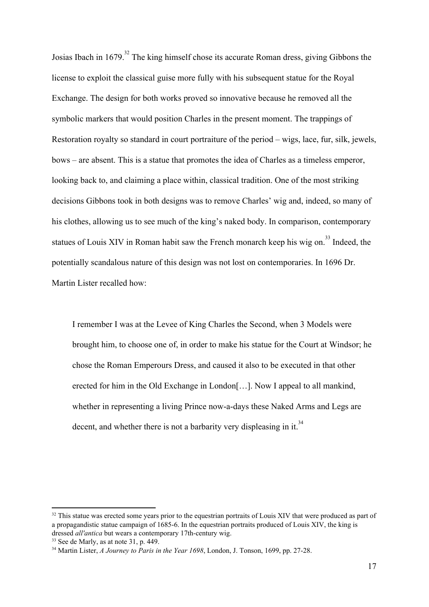Josias Ibach in 1679.<sup>32</sup> The king himself chose its accurate Roman dress, giving Gibbons the license to exploit the classical guise more fully with his subsequent statue for the Royal Exchange. The design for both works proved so innovative because he removed all the symbolic markers that would position Charles in the present moment. The trappings of Restoration royalty so standard in court portraiture of the period – wigs, lace, fur, silk, jewels, bows – are absent. This is a statue that promotes the idea of Charles as a timeless emperor, looking back to, and claiming a place within, classical tradition. One of the most striking decisions Gibbons took in both designs was to remove Charles' wig and, indeed, so many of his clothes, allowing us to see much of the king's naked body. In comparison, contemporary statues of Louis XIV in Roman habit saw the French monarch keep his wig on.<sup>33</sup> Indeed, the potentially scandalous nature of this design was not lost on contemporaries. In 1696 Dr. Martin Lister recalled how:

I remember I was at the Levee of King Charles the Second, when 3 Models were brought him, to choose one of, in order to make his statue for the Court at Windsor; he chose the Roman Emperours Dress, and caused it also to be executed in that other erected for him in the Old Exchange in London[…]. Now I appeal to all mankind, whether in representing a living Prince now-a-days these Naked Arms and Legs are decent, and whether there is not a barbarity very displeasing in it.<sup>34</sup>

<sup>&</sup>lt;sup>32</sup> This statue was erected some years prior to the equestrian portraits of Louis XIV that were produced as part of a propagandistic statue campaign of 1685-6. In the equestrian portraits produced of Louis XIV, the king is dressed *all'antica* but wears a contemporary 17th-century wig.

<sup>33</sup> See de Marly, as at note 31, p. 449.

<sup>34</sup> Martin Lister, *A Journey to Paris in the Year 1698*, London, J. Tonson, 1699, pp. 27-28.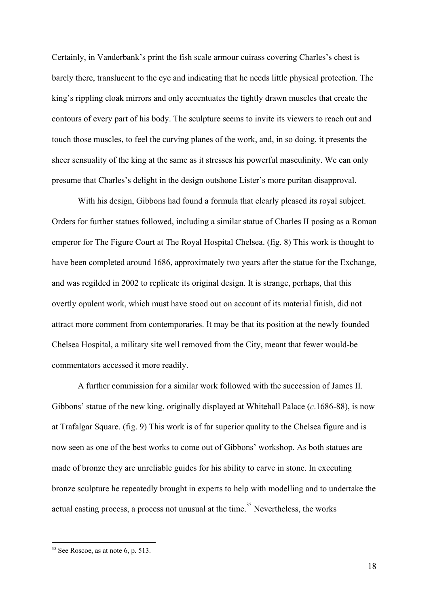Certainly, in Vanderbank's print the fish scale armour cuirass covering Charles's chest is barely there, translucent to the eye and indicating that he needs little physical protection. The king's rippling cloak mirrors and only accentuates the tightly drawn muscles that create the contours of every part of his body. The sculpture seems to invite its viewers to reach out and touch those muscles, to feel the curving planes of the work, and, in so doing, it presents the sheer sensuality of the king at the same as it stresses his powerful masculinity. We can only presume that Charles's delight in the design outshone Lister's more puritan disapproval.

With his design, Gibbons had found a formula that clearly pleased its royal subject. Orders for further statues followed, including a similar statue of Charles II posing as a Roman emperor for The Figure Court at The Royal Hospital Chelsea. (fig. 8) This work is thought to have been completed around 1686, approximately two years after the statue for the Exchange, and was regilded in 2002 to replicate its original design. It is strange, perhaps, that this overtly opulent work, which must have stood out on account of its material finish, did not attract more comment from contemporaries. It may be that its position at the newly founded Chelsea Hospital, a military site well removed from the City, meant that fewer would-be commentators accessed it more readily.

A further commission for a similar work followed with the succession of James II. Gibbons' statue of the new king, originally displayed at Whitehall Palace (*c*.1686-88), is now at Trafalgar Square. (fig. 9) This work is of far superior quality to the Chelsea figure and is now seen as one of the best works to come out of Gibbons' workshop. As both statues are made of bronze they are unreliable guides for his ability to carve in stone. In executing bronze sculpture he repeatedly brought in experts to help with modelling and to undertake the actual casting process, a process not unusual at the time.<sup>35</sup> Nevertheless, the works

<sup>35</sup> See Roscoe, as at note 6, p. 513.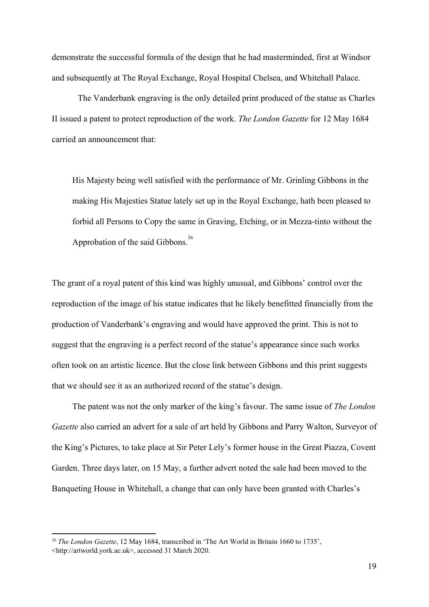demonstrate the successful formula of the design that he had masterminded, first at Windsor and subsequently at The Royal Exchange, Royal Hospital Chelsea, and Whitehall Palace.

The Vanderbank engraving is the only detailed print produced of the statue as Charles II issued a patent to protect reproduction of the work. *The London Gazette* for 12 May 1684 carried an announcement that:

His Majesty being well satisfied with the performance of Mr. Grinling Gibbons in the making His Majesties Statue lately set up in the Royal Exchange, hath been pleased to forbid all Persons to Copy the same in Graving, Etching, or in Mezza-tinto without the Approbation of the said Gibbons.<sup>36</sup>

The grant of a royal patent of this kind was highly unusual, and Gibbons' control over the reproduction of the image of his statue indicates that he likely benefitted financially from the production of Vanderbank's engraving and would have approved the print. This is not to suggest that the engraving is a perfect record of the statue's appearance since such works often took on an artistic licence. But the close link between Gibbons and this print suggests that we should see it as an authorized record of the statue's design.

The patent was not the only marker of the king's favour. The same issue of *The London Gazette* also carried an advert for a sale of art held by Gibbons and Parry Walton, Surveyor of the King's Pictures, to take place at Sir Peter Lely's former house in the Great Piazza, Covent Garden. Three days later, on 15 May, a further advert noted the sale had been moved to the Banqueting House in Whitehall, a change that can only have been granted with Charles's

<sup>36</sup> *The London Gazette*, 12 May 1684, transcribed in 'The Art World in Britain 1660 to 1735', <[http://artworld.york.ac.uk](http://artworld.york.ac.uk/)>, accessed 31 March 2020.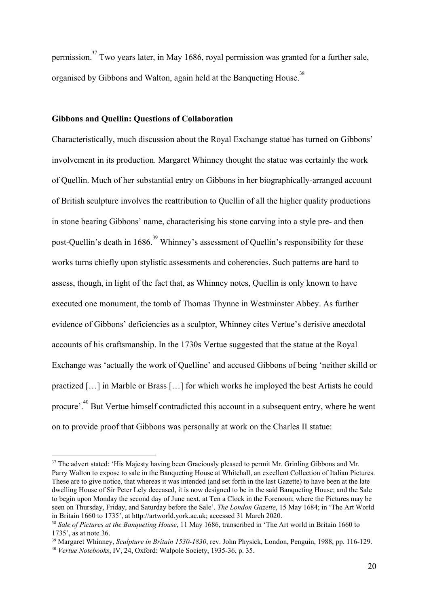permission.<sup>37</sup> Two years later, in May 1686, royal permission was granted for a further sale, organised by Gibbons and Walton, again held at the Banqueting House.<sup>38</sup>

# **Gibbons and Quellin: Questions of Collaboration**

Characteristically, much discussion about the Royal Exchange statue has turned on Gibbons' involvement in its production. Margaret Whinney thought the statue was certainly the work of Quellin. Much of her substantial entry on Gibbons in her biographically-arranged account of British sculpture involves the reattribution to Quellin of all the higher quality productions in stone bearing Gibbons' name, characterising his stone carving into a style pre- and then post-Quellin's death in 1686.<sup>39</sup> Whinney's assessment of Quellin's responsibility for these works turns chiefly upon stylistic assessments and coherencies. Such patterns are hard to assess, though, in light of the fact that, as Whinney notes, Quellin is only known to have executed one monument, the tomb of Thomas Thynne in Westminster Abbey. As further evidence of Gibbons' deficiencies as a sculptor, Whinney cites Vertue's derisive anecdotal accounts of his craftsmanship. In the 1730s Vertue suggested that the statue at the Royal Exchange was 'actually the work of Quelline' and accused Gibbons of being 'neither skilld or practized […] in Marble or Brass […] for which works he imployed the best Artists he could procure<sup>", 40</sup> But Vertue himself contradicted this account in a subsequent entry, where he went on to provide proof that Gibbons was personally at work on the Charles II statue:

<sup>&</sup>lt;sup>37</sup> The advert stated: 'His Majesty having been Graciously pleased to permit Mr. Grinling Gibbons and Mr. Parry Walton to expose to sale in the Banqueting House at Whitehall, an excellent Collection of Italian Pictures. These are to give notice, that whereas it was intended (and set forth in the last Gazette) to have been at the late dwelling House of Sir Peter Lely deceased, it is now designed to be in the said Banqueting House; and the Sale to begin upon Monday the second day of June next, at Ten a Clock in the Forenoon; where the Pictures may be seen on Thursday, Friday, and Saturday before the Sale'. *The London Gazette*, 15 May 1684; in 'The Art World in Britain 1660 to 1735', at http://artworld.york.ac.uk; accessed 31 March 2020.

<sup>38</sup> *Sale of Pictures at the Banqueting House*, 11 May 1686, transcribed in 'The Art world in Britain 1660 to 1735', as at note 36.

<sup>39</sup> Margaret Whinney, *Sculpture in Britain 1530-1830*, rev. John Physick, London, Penguin, 1988, pp. 116-129. <sup>40</sup> *Vertue Notebooks*, IV, 24, Oxford: Walpole Society, 1935-36, p. 35.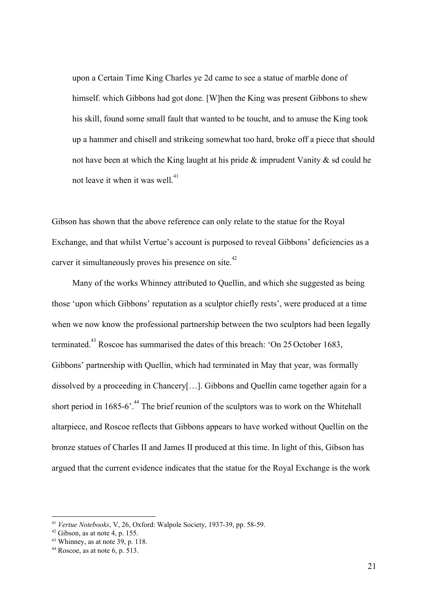upon a Certain Time King Charles ye 2d came to see a statue of marble done of himself. which Gibbons had got done. [W]hen the King was present Gibbons to shew his skill, found some small fault that wanted to be toucht, and to amuse the King took up a hammer and chisell and strikeing somewhat too hard, broke off a piece that should not have been at which the King laught at his pride & imprudent Vanity & sd could he not leave it when it was well.<sup>41</sup>

Gibson has shown that the above reference can only relate to the statue for the Royal Exchange, and that whilst Vertue's account is purposed to reveal Gibbons' deficiencies as a carver it simultaneously proves his presence on site.<sup>42</sup>

Many of the works Whinney attributed to Quellin, and which she suggested as being those 'upon which Gibbons' reputation as a sculptor chiefly rests', were produced at a time when we now know the professional partnership between the two sculptors had been legally terminated.<sup>43</sup> Roscoe has summarised the dates of this breach: 'On 25 October 1683, Gibbons' partnership with Quellin, which had terminated in May that year, was formally dissolved by a proceeding in Chancery[…]. Gibbons and Quellin came together again for a short period in 1685-6'.<sup>44</sup> The brief reunion of the sculptors was to work on the Whitehall altarpiece, and Roscoe reflects that Gibbons appears to have worked without Quellin on the bronze statues of Charles II and James II produced at this time. In light of this, Gibson has argued that the current evidence indicates that the statue for the Royal Exchange is the work

<sup>41</sup> *Vertue Notebooks*, V, 26, Oxford: Walpole Society, 1937-39, pp. 58-59.

 $42$  Gibson, as at note 4, p. 155.

 $43$  Whinney, as at note 39, p. 118.

 $44$  Roscoe, as at note 6, p. 513.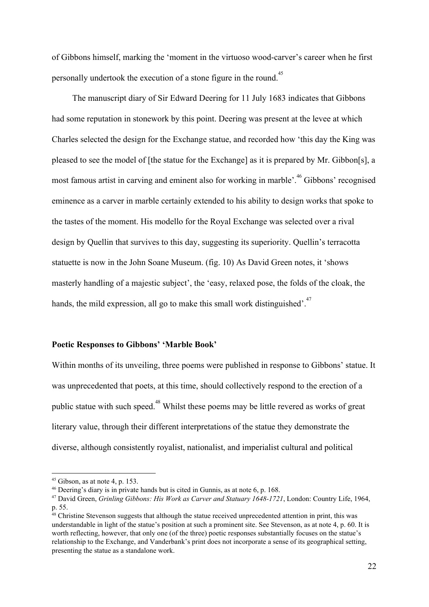of Gibbons himself, marking the 'moment in the virtuoso wood-carver's career when he first personally undertook the execution of a stone figure in the round.<sup>45</sup>

The manuscript diary of Sir Edward Deering for 11 July 1683 indicates that Gibbons had some reputation in stonework by this point. Deering was present at the levee at which Charles selected the design for the Exchange statue, and recorded how 'this day the King was pleased to see the model of [the statue for the Exchange] as it is prepared by Mr. Gibbon[s], a most famous artist in carving and eminent also for working in marble'.<sup>46</sup> Gibbons' recognised eminence as a carver in marble certainly extended to his ability to design works that spoke to the tastes of the moment. His modello for the Royal Exchange was selected over a rival design by Quellin that survives to this day, suggesting its superiority. Quellin's terracotta statuette is now in the John Soane Museum. (fig. 10) As David Green notes, it 'shows masterly handling of a majestic subject', the 'easy, relaxed pose, the folds of the cloak, the hands, the mild expression, all go to make this small work distinguished'.<sup> $47$ </sup>

# **Poetic Responses to Gibbons' 'Marble Book'**

Within months of its unveiling, three poems were published in response to Gibbons' statue. It was unprecedented that poets, at this time, should collectively respond to the erection of a public statue with such speed.<sup>48</sup> Whilst these poems may be little revered as works of great literary value, through their different interpretations of the statue they demonstrate the diverse, although consistently royalist, nationalist, and imperialist cultural and political

 $45$  Gibson, as at note 4, p. 153.

<sup>46</sup> Deering's diary is in private hands but is cited in Gunnis, as at note 6, p. 168.

<sup>47</sup> David Green, *Grinling Gibbons: His Work as Carver and Statuary 1648-1721*, London: Country Life, 1964, p. 55.

<sup>&</sup>lt;sup>48</sup> Christine Stevenson suggests that although the statue received unprecedented attention in print, this was understandable in light of the statue's position at such a prominent site. See Stevenson, as at note 4, p. 60. It is worth reflecting, however, that only one (of the three) poetic responses substantially focuses on the statue's relationship to the Exchange, and Vanderbank's print does not incorporate a sense of its geographical setting, presenting the statue as a standalone work.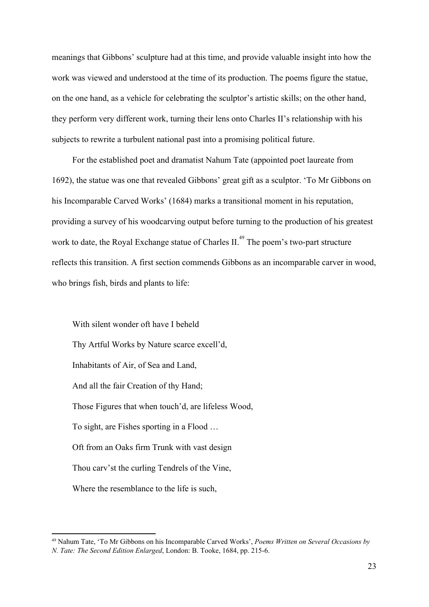meanings that Gibbons' sculpture had at this time, and provide valuable insight into how the work was viewed and understood at the time of its production. The poems figure the statue, on the one hand, as a vehicle for celebrating the sculptor's artistic skills; on the other hand, they perform very different work, turning their lens onto Charles II's relationship with his subjects to rewrite a turbulent national past into a promising political future.

For the established poet and dramatist Nahum Tate (appointed poet laureate from 1692), the statue was one that revealed Gibbons' great gift as a sculptor. 'To Mr Gibbons on his Incomparable Carved Works' (1684) marks a transitional moment in his reputation, providing a survey of his woodcarving output before turning to the production of his greatest work to date, the Royal Exchange statue of Charles II.<sup>49</sup> The poem's two-part structure reflects this transition. A first section commends Gibbons as an incomparable carver in wood, who brings fish, birds and plants to life:

With silent wonder oft have I beheld Thy Artful Works by Nature scarce excell'd, Inhabitants of Air, of Sea and Land, And all the fair Creation of thy Hand; Those Figures that when touch'd, are lifeless Wood, To sight, are Fishes sporting in a Flood … Oft from an Oaks firm Trunk with vast design Thou carv'st the curling Tendrels of the Vine, Where the resemblance to the life is such,

<sup>49</sup> Nahum Tate, 'To Mr Gibbons on his Incomparable Carved Works', *Poems Written on Several Occasions by N. Tate: The Second Edition Enlarged*, London: B. Tooke, 1684, pp. 215-6.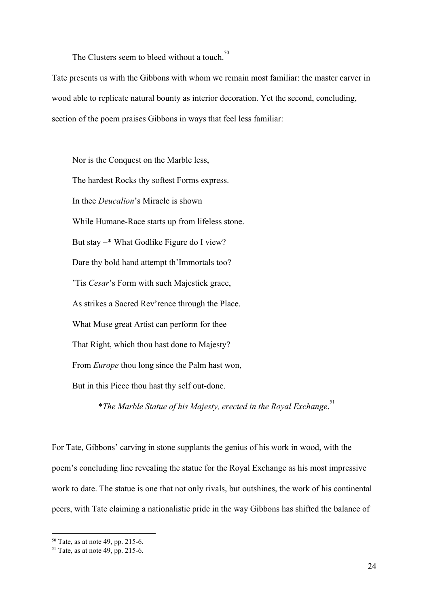The Clusters seem to bleed without a touch.<sup>50</sup>

Tate presents us with the Gibbons with whom we remain most familiar: the master carver in wood able to replicate natural bounty as interior decoration. Yet the second, concluding, section of the poem praises Gibbons in ways that feel less familiar:

Nor is the Conquest on the Marble less, The hardest Rocks thy softest Forms express. In thee *Deucalion*'s Miracle is shown While Humane-Race starts up from lifeless stone. But stay –\* What Godlike Figure do I view? Dare thy bold hand attempt th'Immortals too? 'Tis *Cesar*'s Form with such Majestick grace, As strikes a Sacred Rev'rence through the Place. What Muse great Artist can perform for thee That Right, which thou hast done to Majesty? From *Europe* thou long since the Palm hast won, But in this Piece thou hast thy self out-done.

\**The Marble Statue of his Majesty, erected in the Royal Exchange*. 51

For Tate, Gibbons' carving in stone supplants the genius of his work in wood, with the poem's concluding line revealing the statue for the Royal Exchange as his most impressive work to date. The statue is one that not only rivals, but outshines, the work of his continental peers, with Tate claiming a nationalistic pride in the way Gibbons has shifted the balance of

 $50$  Tate, as at note 49, pp. 215-6.

 $51$  Tate, as at note 49, pp. 215-6.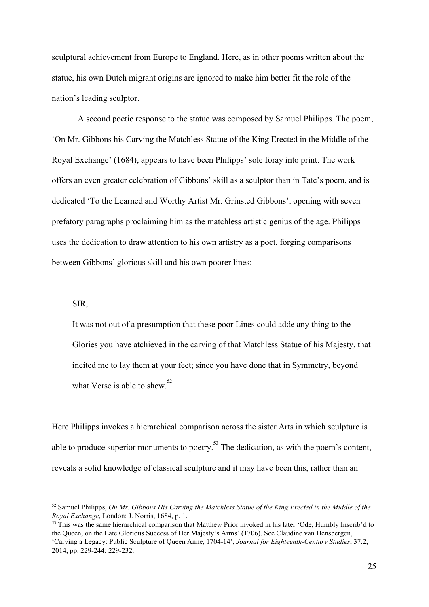sculptural achievement from Europe to England. Here, as in other poems written about the statue, his own Dutch migrant origins are ignored to make him better fit the role of the nation's leading sculptor.

A second poetic response to the statue was composed by Samuel Philipps. The poem, 'On Mr. Gibbons his Carving the Matchless Statue of the King Erected in the Middle of the Royal Exchange' (1684), appears to have been Philipps' sole foray into print. The work offers an even greater celebration of Gibbons' skill as a sculptor than in Tate's poem, and is dedicated 'To the Learned and Worthy Artist Mr. Grinsted Gibbons', opening with seven prefatory paragraphs proclaiming him as the matchless artistic genius of the age. Philipps uses the dedication to draw attention to his own artistry as a poet, forging comparisons between Gibbons' glorious skill and his own poorer lines:

SIR,

It was not out of a presumption that these poor Lines could adde any thing to the Glories you have atchieved in the carving of that Matchless Statue of his Majesty, that incited me to lay them at your feet; since you have done that in Symmetry, beyond what Verse is able to shew.<sup>52</sup>

Here Philipps invokes a hierarchical comparison across the sister Arts in which sculpture is able to produce superior monuments to poetry.<sup>53</sup> The dedication, as with the poem's content, reveals a solid knowledge of classical sculpture and it may have been this, rather than an

<sup>&</sup>lt;sup>52</sup> Samuel Philipps, *On Mr. Gibbons His Carving the Matchless Statue of the King Erected in the Middle of the Royal Exchange*, London: J. Norris, 1684, p. 1.

<sup>&</sup>lt;sup>53</sup> This was the same hierarchical comparison that Matthew Prior invoked in his later 'Ode, Humbly Inscrib'd to the Queen, on the Late Glorious Success of Her Majesty's Arms' (1706). See Claudine van Hensbergen, 'Carving a Legacy: Public Sculpture of Queen Anne, 1704-14', *Journal for Eighteenth-Century Studies*, 37.2, 2014, pp. 229-244; 229-232.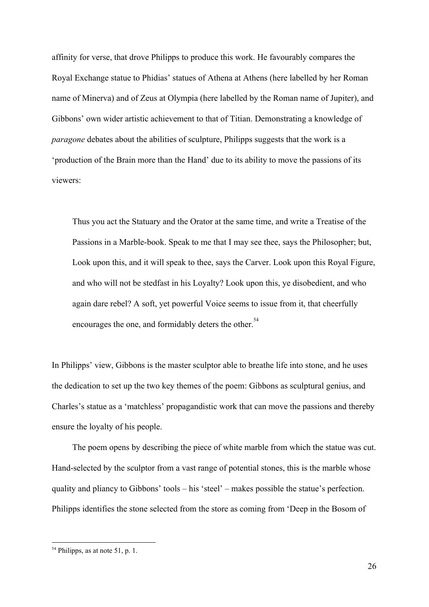affinity for verse, that drove Philipps to produce this work. He favourably compares the Royal Exchange statue to Phidias' statues of Athena at Athens (here labelled by her Roman name of Minerva) and of Zeus at Olympia (here labelled by the Roman name of Jupiter), and Gibbons' own wider artistic achievement to that of Titian. Demonstrating a knowledge of *paragone* debates about the abilities of sculpture, Philipps suggests that the work is a 'production of the Brain more than the Hand' due to its ability to move the passions of its viewers:

Thus you act the Statuary and the Orator at the same time, and write a Treatise of the Passions in a Marble-book. Speak to me that I may see thee, says the Philosopher; but, Look upon this, and it will speak to thee, says the Carver. Look upon this Royal Figure, and who will not be stedfast in his Loyalty? Look upon this, ye disobedient, and who again dare rebel? A soft, yet powerful Voice seems to issue from it, that cheerfully encourages the one, and formidably deters the other.<sup>54</sup>

In Philipps' view, Gibbons is the master sculptor able to breathe life into stone, and he uses the dedication to set up the two key themes of the poem: Gibbons as sculptural genius, and Charles's statue as a 'matchless' propagandistic work that can move the passions and thereby ensure the loyalty of his people.

The poem opens by describing the piece of white marble from which the statue was cut. Hand-selected by the sculptor from a vast range of potential stones, this is the marble whose quality and pliancy to Gibbons' tools – his 'steel' – makes possible the statue's perfection. Philipps identifies the stone selected from the store as coming from 'Deep in the Bosom of

<sup>54</sup> Philipps, as at note 51, p. 1.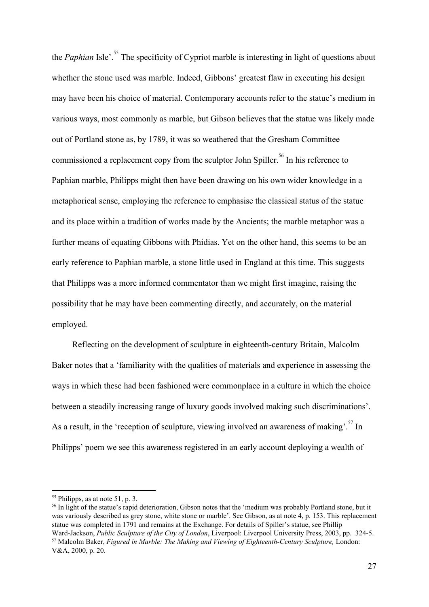the *Paphian* Isle<sup> $\cdot$ .<sup>55</sup> The specificity of Cypriot marble is interesting in light of questions about</sup> whether the stone used was marble. Indeed, Gibbons' greatest flaw in executing his design may have been his choice of material. Contemporary accounts refer to the statue's medium in various ways, most commonly as marble, but Gibson believes that the statue was likely made out of Portland stone as, by 1789, it was so weathered that the Gresham Committee commissioned a replacement copy from the sculptor John Spiller.<sup>56</sup> In his reference to Paphian marble, Philipps might then have been drawing on his own wider knowledge in a metaphorical sense, employing the reference to emphasise the classical status of the statue and its place within a tradition of works made by the Ancients; the marble metaphor was a further means of equating Gibbons with Phidias. Yet on the other hand, this seems to be an early reference to Paphian marble, a stone little used in England at this time. This suggests that Philipps was a more informed commentator than we might first imagine, raising the possibility that he may have been commenting directly, and accurately, on the material employed.

Reflecting on the development of sculpture in eighteenth-century Britain, Malcolm Baker notes that a 'familiarity with the qualities of materials and experience in assessing the ways in which these had been fashioned were commonplace in a culture in which the choice between a steadily increasing range of luxury goods involved making such discriminations'. As a result, in the 'reception of sculpture, viewing involved an awareness of making'.<sup>57</sup> In Philipps' poem we see this awareness registered in an early account deploying a wealth of

<sup>56</sup> In light of the statue's rapid deterioration, Gibson notes that the 'medium was probably Portland stone, but it was variously described as grey stone, white stone or marble'. See Gibson, as at note 4, p. 153. This replacement statue was completed in 1791 and remains at the Exchange. For details of Spiller's statue, see Phillip Ward-Jackson, *Public Sculpture of the City of London*, Liverpool: Liverpool University Press, 2003, pp. 324-5. <sup>57</sup> Malcolm Baker, *Figured in Marble: The Making and Viewing of Eighteenth-Century Sculpture,* London:

<sup>55</sup> Philipps, as at note 51, p. 3.

V&A, 2000, p. 20.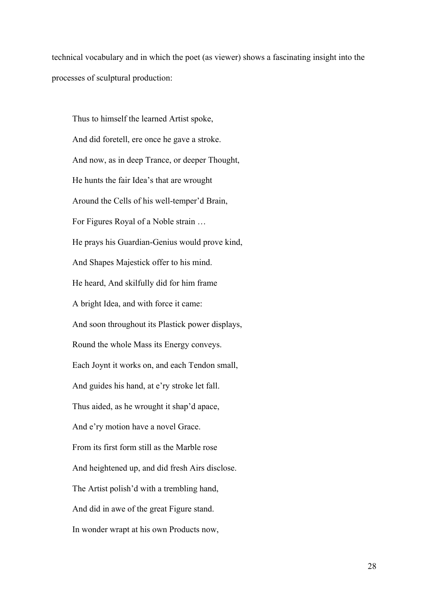technical vocabulary and in which the poet (as viewer) shows a fascinating insight into the processes of sculptural production:

Thus to himself the learned Artist spoke, And did foretell, ere once he gave a stroke. And now, as in deep Trance, or deeper Thought, He hunts the fair Idea's that are wrought Around the Cells of his well-temper'd Brain, For Figures Royal of a Noble strain … He prays his Guardian-Genius would prove kind, And Shapes Majestick offer to his mind. He heard, And skilfully did for him frame A bright Idea, and with force it came: And soon throughout its Plastick power displays, Round the whole Mass its Energy conveys. Each Joynt it works on, and each Tendon small, And guides his hand, at e'ry stroke let fall. Thus aided, as he wrought it shap'd apace, And e'ry motion have a novel Grace. From its first form still as the Marble rose And heightened up, and did fresh Airs disclose. The Artist polish'd with a trembling hand, And did in awe of the great Figure stand. In wonder wrapt at his own Products now,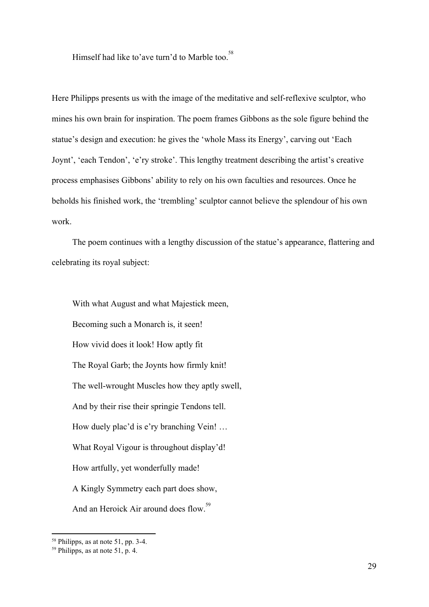Himself had like to'ave turn'd to Marble too.<sup>58</sup>

Here Philipps presents us with the image of the meditative and self-reflexive sculptor, who mines his own brain for inspiration. The poem frames Gibbons as the sole figure behind the statue's design and execution: he gives the 'whole Mass its Energy', carving out 'Each Joynt', 'each Tendon', 'e'ry stroke'. This lengthy treatment describing the artist's creative process emphasises Gibbons' ability to rely on his own faculties and resources. Once he beholds his finished work, the 'trembling' sculptor cannot believe the splendour of his own work.

The poem continues with a lengthy discussion of the statue's appearance, flattering and celebrating its royal subject:

With what August and what Majestick meen, Becoming such a Monarch is, it seen! How vivid does it look! How aptly fit The Royal Garb; the Joynts how firmly knit! The well-wrought Muscles how they aptly swell, And by their rise their springie Tendons tell. How duely plac'd is e'ry branching Vein! … What Royal Vigour is throughout display'd! How artfully, yet wonderfully made! A Kingly Symmetry each part does show, And an Heroick Air around does flow.<sup>59</sup>

<sup>58</sup> Philipps, as at note 51, pp. 3-4.

 $<sup>59</sup>$  Philipps, as at note 51, p. 4.</sup>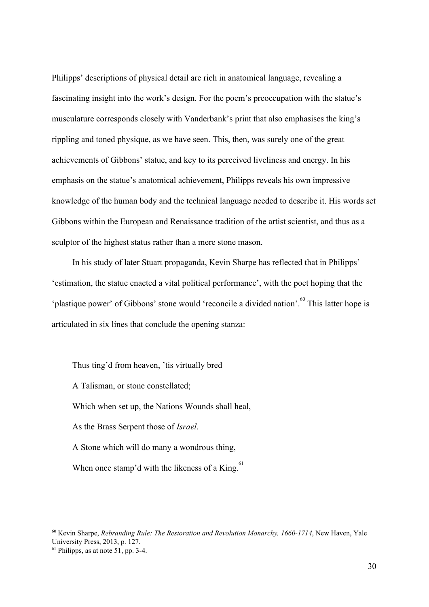Philipps' descriptions of physical detail are rich in anatomical language, revealing a fascinating insight into the work's design. For the poem's preoccupation with the statue's musculature corresponds closely with Vanderbank's print that also emphasises the king's rippling and toned physique, as we have seen. This, then, was surely one of the great achievements of Gibbons' statue, and key to its perceived liveliness and energy. In his emphasis on the statue's anatomical achievement, Philipps reveals his own impressive knowledge of the human body and the technical language needed to describe it. His words set Gibbons within the European and Renaissance tradition of the artist scientist, and thus as a sculptor of the highest status rather than a mere stone mason.

In his study of later Stuart propaganda, Kevin Sharpe has reflected that in Philipps' 'estimation, the statue enacted a vital political performance', with the poet hoping that the 'plastique power' of Gibbons' stone would 'reconcile a divided nation'.<sup>60</sup> This latter hope is articulated in six lines that conclude the opening stanza:

Thus ting'd from heaven, 'tis virtually bred A Talisman, or stone constellated; Which when set up, the Nations Wounds shall heal, As the Brass Serpent those of *Israel*. A Stone which will do many a wondrous thing, When once stamp'd with the likeness of a King. $61$ 

<sup>60</sup> Kevin Sharpe, *Rebranding Rule: The Restoration and Revolution Monarchy, 1660-1714*, New Haven, Yale University Press, 2013, p. 127.

 $61$  Philipps, as at note 51, pp. 3-4.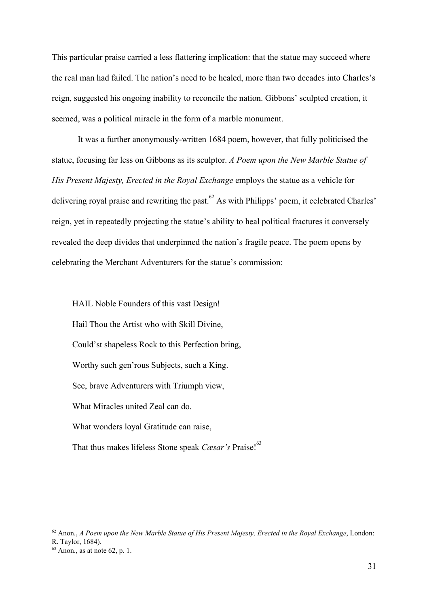This particular praise carried a less flattering implication: that the statue may succeed where the real man had failed. The nation's need to be healed, more than two decades into Charles's reign, suggested his ongoing inability to reconcile the nation. Gibbons' sculpted creation, it seemed, was a political miracle in the form of a marble monument.

It was a further anonymously-written 1684 poem, however, that fully politicised the statue, focusing far less on Gibbons as its sculptor. *A Poem upon the New Marble Statue of His Present Majesty, Erected in the Royal Exchange* employs the statue as a vehicle for delivering royal praise and rewriting the past.  $^{62}$  As with Philipps' poem, it celebrated Charles' reign, yet in repeatedly projecting the statue's ability to heal political fractures it conversely revealed the deep divides that underpinned the nation's fragile peace. The poem opens by celebrating the Merchant Adventurers for the statue's commission:

HAIL Noble Founders of this vast Design! Hail Thou the Artist who with Skill Divine, Could'st shapeless Rock to this Perfection bring, Worthy such gen'rous Subjects, such a King. See, brave Adventurers with Triumph view, What Miracles united Zeal can do. What wonders loyal Gratitude can raise, That thus makes lifeless Stone speak *Cæsar's* Praise!<sup>63</sup>

<sup>62</sup> Anon., *A Poem upon the New Marble Statue of His Present Majesty, Erected in the Royal Exchange*, London: R. Taylor, 1684).

 $63$  Anon., as at note 62, p. 1.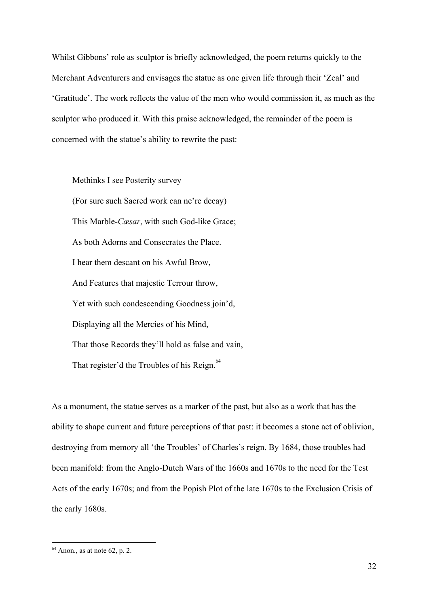Whilst Gibbons' role as sculptor is briefly acknowledged, the poem returns quickly to the Merchant Adventurers and envisages the statue as one given life through their 'Zeal' and 'Gratitude'. The work reflects the value of the men who would commission it, as much as the sculptor who produced it. With this praise acknowledged, the remainder of the poem is concerned with the statue's ability to rewrite the past:

Methinks I see Posterity survey (For sure such Sacred work can ne're decay) This Marble-*Cæsar*, with such God-like Grace; As both Adorns and Consecrates the Place. I hear them descant on his Awful Brow, And Features that majestic Terrour throw, Yet with such condescending Goodness join'd, Displaying all the Mercies of his Mind, That those Records they'll hold as false and vain, That register'd the Troubles of his Reign.<sup>64</sup>

As a monument, the statue serves as a marker of the past, but also as a work that has the ability to shape current and future perceptions of that past: it becomes a stone act of oblivion, destroying from memory all 'the Troubles' of Charles's reign. By 1684, those troubles had been manifold: from the Anglo-Dutch Wars of the 1660s and 1670s to the need for the Test Acts of the early 1670s; and from the Popish Plot of the late 1670s to the Exclusion Crisis of the early 1680s.

 $64$  Anon., as at note 62, p. 2.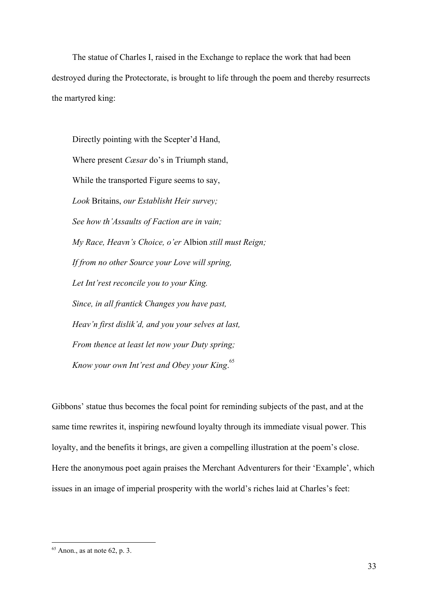The statue of Charles I, raised in the Exchange to replace the work that had been destroyed during the Protectorate, is brought to life through the poem and thereby resurrects the martyred king:

Directly pointing with the Scepter'd Hand, Where present *Cæsar* do's in Triumph stand, While the transported Figure seems to say, *Look* Britains, *our Establisht Heir survey; See how th'Assaults of Faction are in vain; My Race, Heavn's Choice, o'er* Albion *still must Reign; If from no other Source your Love will spring, Let Int'rest reconcile you to your King. Since, in all frantick Changes you have past, Heav'n first dislik'd, and you your selves at last, From thence at least let now your Duty spring; Know your own Int'rest and Obey your King*. 65

Gibbons' statue thus becomes the focal point for reminding subjects of the past, and at the same time rewrites it, inspiring newfound loyalty through its immediate visual power. This loyalty, and the benefits it brings, are given a compelling illustration at the poem's close. Here the anonymous poet again praises the Merchant Adventurers for their 'Example', which issues in an image of imperial prosperity with the world's riches laid at Charles's feet:

 $65$  Anon., as at note 62, p. 3.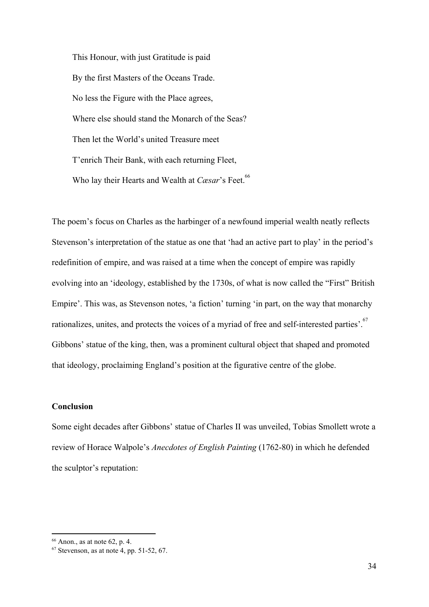This Honour, with just Gratitude is paid By the first Masters of the Oceans Trade. No less the Figure with the Place agrees, Where else should stand the Monarch of the Seas? Then let the World's united Treasure meet T'enrich Their Bank, with each returning Fleet, Who lay their Hearts and Wealth at *Cæsar*'s Feet.<sup>66</sup>

The poem's focus on Charles as the harbinger of a newfound imperial wealth neatly reflects Stevenson's interpretation of the statue as one that 'had an active part to play' in the period's redefinition of empire, and was raised at a time when the concept of empire was rapidly evolving into an 'ideology, established by the 1730s, of what is now called the "First" British Empire'. This was, as Stevenson notes, 'a fiction' turning 'in part, on the way that monarchy rationalizes, unites, and protects the voices of a myriad of free and self-interested parties'.<sup>67</sup> Gibbons' statue of the king, then, was a prominent cultural object that shaped and promoted that ideology, proclaiming England's position at the figurative centre of the globe.

# **Conclusion**

Some eight decades after Gibbons' statue of Charles II was unveiled, Tobias Smollett wrote a review of Horace Walpole's *Anecdotes of English Painting* (1762-80) in which he defended the sculptor's reputation:

 $66$  Anon., as at note 62, p. 4.

 $67$  Stevenson, as at note 4, pp. 51-52, 67.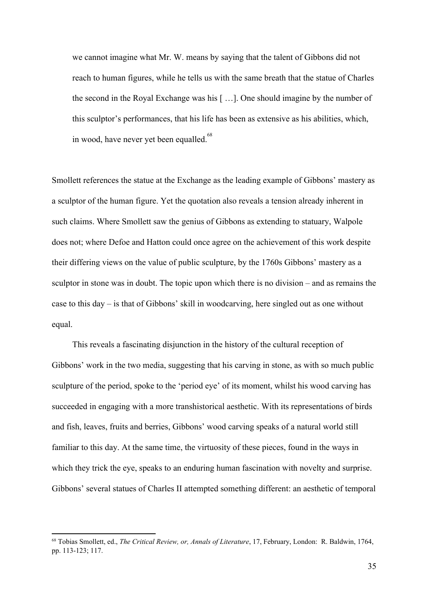we cannot imagine what Mr. W. means by saying that the talent of Gibbons did not reach to human figures, while he tells us with the same breath that the statue of Charles the second in the Royal Exchange was his [ …]. One should imagine by the number of this sculptor's performances, that his life has been as extensive as his abilities, which, in wood, have never yet been equalled.<sup>68</sup>

Smollett references the statue at the Exchange as the leading example of Gibbons' mastery as a sculptor of the human figure. Yet the quotation also reveals a tension already inherent in such claims. Where Smollett saw the genius of Gibbons as extending to statuary, Walpole does not; where Defoe and Hatton could once agree on the achievement of this work despite their differing views on the value of public sculpture, by the 1760s Gibbons' mastery as a sculptor in stone was in doubt. The topic upon which there is no division – and as remains the case to this day – is that of Gibbons' skill in woodcarving, here singled out as one without equal.

This reveals a fascinating disjunction in the history of the cultural reception of Gibbons' work in the two media, suggesting that his carving in stone, as with so much public sculpture of the period, spoke to the 'period eye' of its moment, whilst his wood carving has succeeded in engaging with a more transhistorical aesthetic. With its representations of birds and fish, leaves, fruits and berries, Gibbons' wood carving speaks of a natural world still familiar to this day. At the same time, the virtuosity of these pieces, found in the ways in which they trick the eye, speaks to an enduring human fascination with novelty and surprise. Gibbons' several statues of Charles II attempted something different: an aesthetic of temporal

<sup>68</sup> Tobias Smollett, ed., *The Critical Review, or, Annals of Literature*, 17, February, London: R. Baldwin, 1764, pp. 113-123; 117.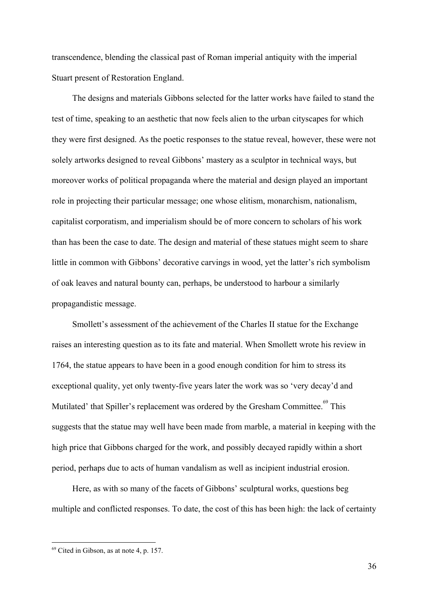transcendence, blending the classical past of Roman imperial antiquity with the imperial Stuart present of Restoration England.

The designs and materials Gibbons selected for the latter works have failed to stand the test of time, speaking to an aesthetic that now feels alien to the urban cityscapes for which they were first designed. As the poetic responses to the statue reveal, however, these were not solely artworks designed to reveal Gibbons' mastery as a sculptor in technical ways, but moreover works of political propaganda where the material and design played an important role in projecting their particular message; one whose elitism, monarchism, nationalism, capitalist corporatism, and imperialism should be of more concern to scholars of his work than has been the case to date. The design and material of these statues might seem to share little in common with Gibbons' decorative carvings in wood, yet the latter's rich symbolism of oak leaves and natural bounty can, perhaps, be understood to harbour a similarly propagandistic message.

Smollett's assessment of the achievement of the Charles II statue for the Exchange raises an interesting question as to its fate and material. When Smollett wrote his review in 1764, the statue appears to have been in a good enough condition for him to stress its exceptional quality, yet only twenty-five years later the work was so 'very decay'd and Mutilated' that Spiller's replacement was ordered by the Gresham Committee.<sup>69</sup> This suggests that the statue may well have been made from marble, a material in keeping with the high price that Gibbons charged for the work, and possibly decayed rapidly within a short period, perhaps due to acts of human vandalism as well as incipient industrial erosion.

Here, as with so many of the facets of Gibbons' sculptural works, questions beg multiple and conflicted responses. To date, the cost of this has been high: the lack of certainty

<sup>69</sup> Cited in Gibson, as at note 4, p. 157.